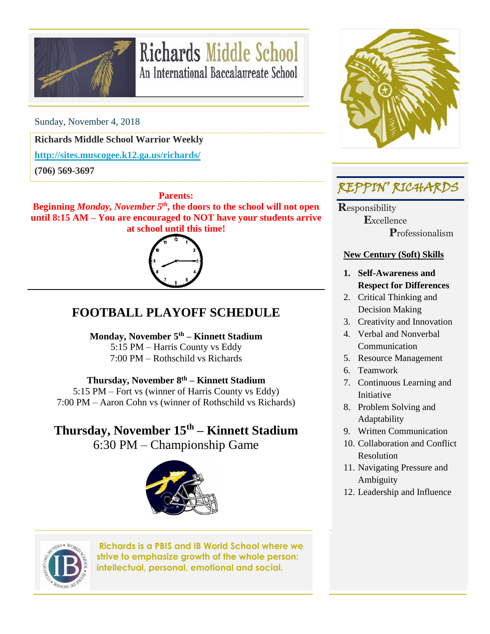

# **Richards Middle School** An International Baccalaureate School

Sunday, November 4, 2018

**Richards Middle School Warrior Weekly**

**<http://sites.muscogee.k12.ga.us/richards/>**

**(706) 569-3697**

**Parents:**

**Beginning** *Monday, November 5th***, the doors to the school will not open until 8:15 AM – You are encouraged to NOT have your students arrive at school until this time!**



### **FOOTBALL PLAYOFF SCHEDULE**

**Monday, November 5th – Kinnett Stadium** 5:15 PM – Harris County vs Eddy 7:00 PM – Rothschild vs Richards

**Thursday, November 8th – Kinnett Stadium**

5:15 PM – Fort vs (winner of Harris County vs Eddy) 7:00 PM – Aaron Cohn vs (winner of Rothschild vs Richards)

## **Thursday, November 15th – Kinnett Stadium**

6:30 PM – Championship Game





**Richards is a PBIS and IB World School where we strive to emphasize growth of the whole person: intellectual, personal, emotional and social.**



### REPPIN' RICHARDS

**R**esponsibility  **E**xcellence  **P**rofessionalism

#### **New Century (Soft) Skills**

- **1. Self-Awareness and Respect for Differences**
- 2. Critical Thinking and Decision Making
- 3. Creativity and Innovation
- 4. Verbal and Nonverbal Communication
- 5. Resource Management
- 6. Teamwork
- 7. Continuous Learning and Initiative
- 8. Problem Solving and Adaptability
- 9. Written Communication
- 10. Collaboration and Conflict Resolution
- 11. Navigating Pressure and Ambiguity
- 12. Leadership and Influence